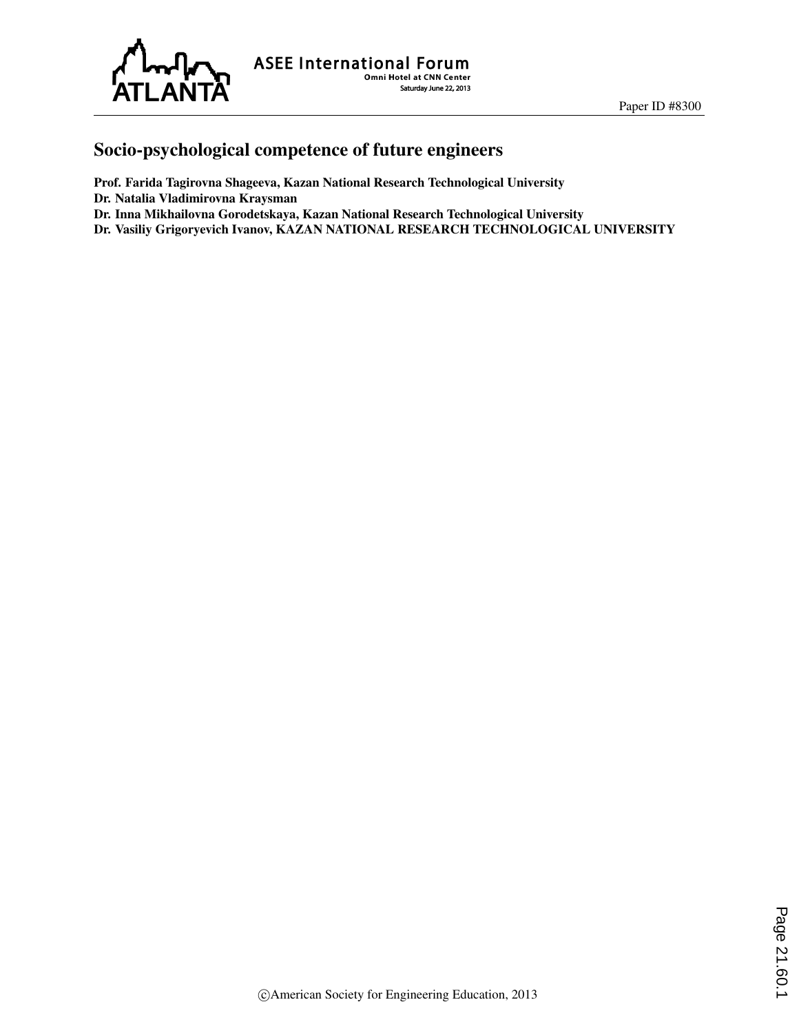

ASEE International Forum Saturday June 22, 2013

## Socio-psychological competence of future engineers

Prof. Farida Tagirovna Shageeva, Kazan National Research Technological University Dr. Natalia Vladimirovna Kraysman Dr. Inna Mikhailovna Gorodetskaya, Kazan National Research Technological University

Dr. Vasiliy Grigoryevich Ivanov, KAZAN NATIONAL RESEARCH TECHNOLOGICAL UNIVERSITY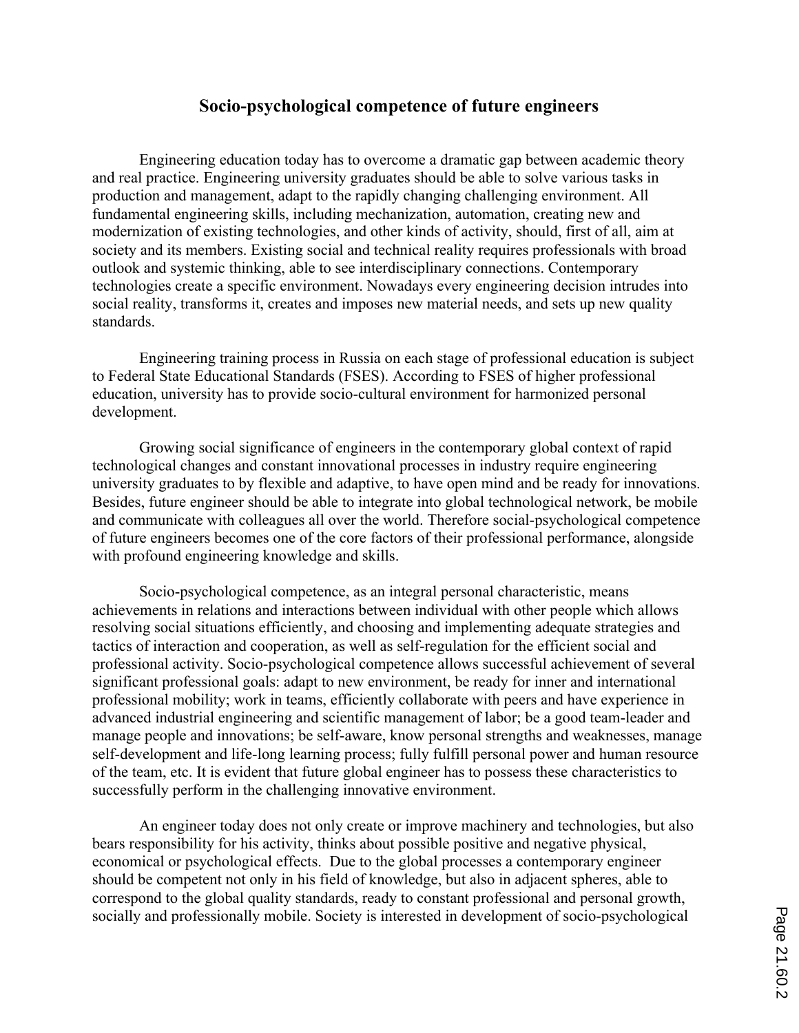## **Socio-psychological competence of future engineers**

Engineering education today has to overcome a dramatic gap between academic theory and real practice. Engineering university graduates should be able to solve various tasks in production and management, adapt to the rapidly changing challenging environment. All fundamental engineering skills, including mechanization, automation, creating new and modernization of existing technologies, and other kinds of activity, should, first of all, aim at society and its members. Existing social and technical reality requires professionals with broad outlook and systemic thinking, able to see interdisciplinary connections. Contemporary technologies create a specific environment. Nowadays every engineering decision intrudes into social reality, transforms it, creates and imposes new material needs, and sets up new quality standards.

Engineering training process in Russia on each stage of professional education is subject to Federal State Educational Standards (FSES). According to FSES of higher professional education, university has to provide socio-cultural environment for harmonized personal development.

Growing social significance of engineers in the contemporary global context of rapid technological changes and constant innovational processes in industry require engineering university graduates to by flexible and adaptive, to have open mind and be ready for innovations. Besides, future engineer should be able to integrate into global technological network, be mobile and communicate with colleagues all over the world. Therefore social-psychological competence of future engineers becomes one of the core factors of their professional performance, alongside with profound engineering knowledge and skills.

Socio-psychological competence, as an integral personal characteristic, means achievements in relations and interactions between individual with other people which allows resolving social situations efficiently, and choosing and implementing adequate strategies and tactics of interaction and cooperation, as well as self-regulation for the efficient social and professional activity. Socio-psychological competence allows successful achievement of several significant professional goals: adapt to new environment, be ready for inner and international professional mobility; work in teams, efficiently collaborate with peers and have experience in advanced industrial engineering and scientific management of labor; be a good team-leader and manage people and innovations; be self-aware, know personal strengths and weaknesses, manage self-development and life-long learning process; fully fulfill personal power and human resource of the team, etc. It is evident that future global engineer has to possess these characteristics to successfully perform in the challenging innovative environment.

An engineer today does not only create or improve machinery and technologies, but also bears responsibility for his activity, thinks about possible positive and negative physical, economical or psychological effects. Due to the global processes a contemporary engineer should be competent not only in his field of knowledge, but also in adjacent spheres, able to correspond to the global quality standards, ready to constant professional and personal growth, socially and professionally mobile. Society is interested in development of socio-psychological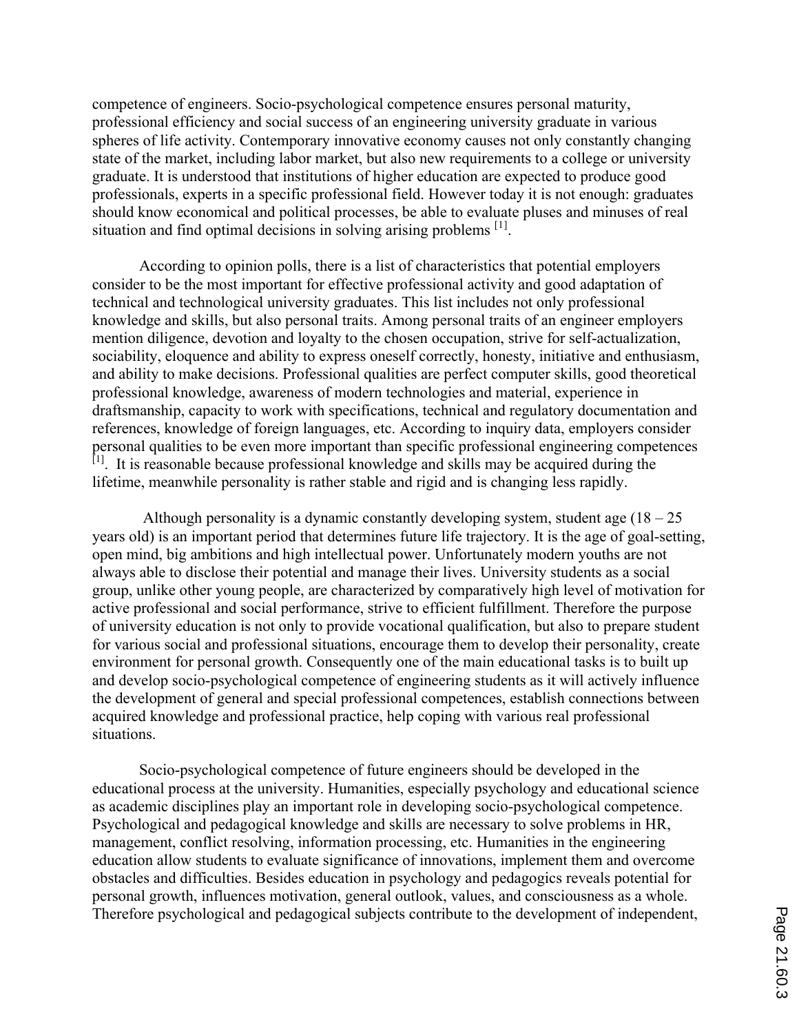competence of engineers. Socio-psychological competence ensures personal maturity, professional efficiency and social success of an engineering university graduate in various spheres of life activity. Contemporary innovative economy causes not only constantly changing state of the market, including labor market, but also new requirements to a college or university graduate. It is understood that institutions of higher education are expected to produce good professionals, experts in a specific professional field. However today it is not enough: graduates should know economical and political processes, be able to evaluate pluses and minuses of real situation and find optimal decisions in solving arising problems  $[1]$ .

According to opinion polls, there is a list of characteristics that potential employers consider to be the most important for effective professional activity and good adaptation of technical and technological university graduates. This list includes not only professional knowledge and skills, but also personal traits. Among personal traits of an engineer employers mention diligence, devotion and loyalty to the chosen occupation, strive for self-actualization, sociability, eloquence and ability to express oneself correctly, honesty, initiative and enthusiasm, and ability to make decisions. Professional qualities are perfect computer skills, good theoretical professional knowledge, awareness of modern technologies and material, experience in draftsmanship, capacity to work with specifications, technical and regulatory documentation and references, knowledge of foreign languages, etc. According to inquiry data, employers consider personal qualities to be even more important than specific professional engineering competences  $\begin{bmatrix} 1 \end{bmatrix}$ . It is reasonable because professional knowledge and skills may be acquired during the lifetime, meanwhile personality is rather stable and rigid and is changing less rapidly.

Although personality is a dynamic constantly developing system, student age  $(18 - 25)$ years old) is an important period that determines future life trajectory. It is the age of goal-setting, open mind, big ambitions and high intellectual power. Unfortunately modern youths are not always able to disclose their potential and manage their lives. University students as a social group, unlike other young people, are characterized by comparatively high level of motivation for active professional and social performance, strive to efficient fulfillment. Therefore the purpose of university education is not only to provide vocational qualification, but also to prepare student for various social and professional situations, encourage them to develop their personality, create environment for personal growth. Consequently one of the main educational tasks is to built up and develop socio-psychological competence of engineering students as it will actively influence the development of general and special professional competences, establish connections between acquired knowledge and professional practice, help coping with various real professional situations.

Socio-psychological competence of future engineers should be developed in the educational process at the university. Humanities, especially psychology and educational science as academic disciplines play an important role in developing socio-psychological competence. Psychological and pedagogical knowledge and skills are necessary to solve problems in HR, management, conflict resolving, information processing, etc. Humanities in the engineering education allow students to evaluate significance of innovations, implement them and overcome obstacles and difficulties. Besides education in psychology and pedagogics reveals potential for personal growth, influences motivation, general outlook, values, and consciousness as a whole. Therefore psychological and pedagogical subjects contribute to the development of independent,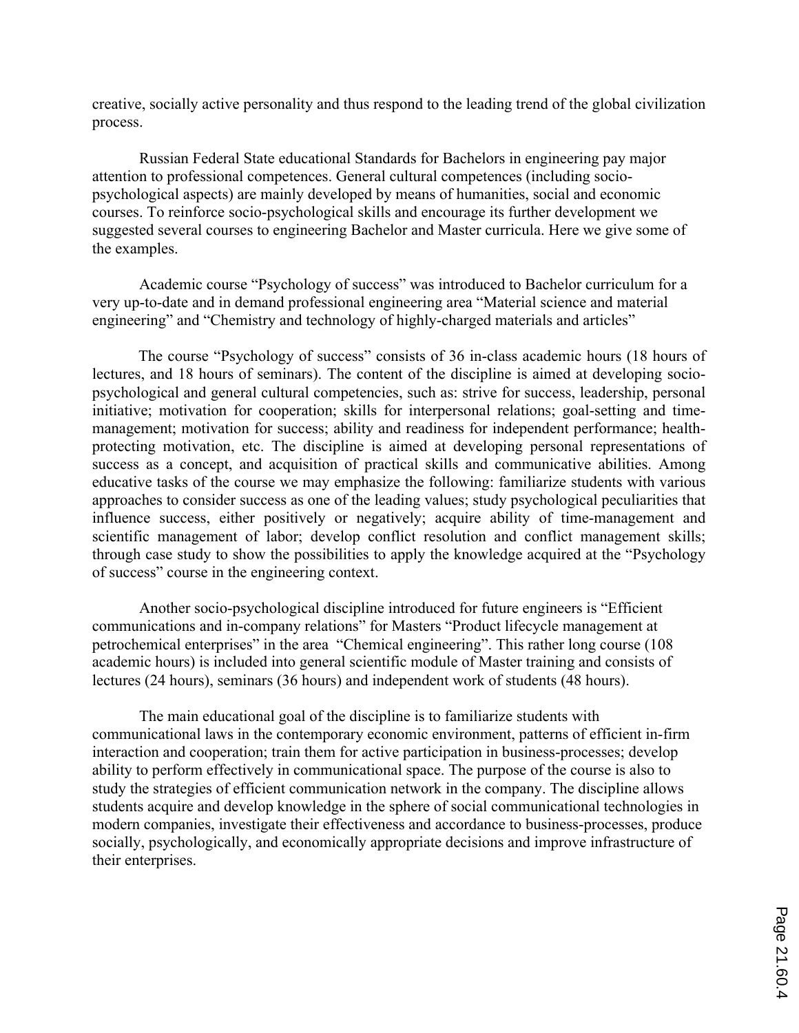creative, socially active personality and thus respond to the leading trend of the global civilization process.

Russian Federal State educational Standards for Bachelors in engineering pay major attention to professional competences. General cultural competences (including sociopsychological aspects) are mainly developed by means of humanities, social and economic courses. To reinforce socio-psychological skills and encourage its further development we suggested several courses to engineering Bachelor and Master curricula. Here we give some of the examples.

Academic course "Psychology of success" was introduced to Bachelor curriculum for a very up-to-date and in demand professional engineering area "Material science and material engineering" and "Chemistry and technology of highly-charged materials and articles"

The course "Psychology of success" consists of 36 in-class academic hours (18 hours of lectures, and 18 hours of seminars). The content of the discipline is aimed at developing sociopsychological and general cultural competencies, such as: strive for success, leadership, personal initiative; motivation for cooperation; skills for interpersonal relations; goal-setting and timemanagement; motivation for success; ability and readiness for independent performance; healthprotecting motivation, etc. The discipline is aimed at developing personal representations of success as a concept, and acquisition of practical skills and communicative abilities. Among educative tasks of the course we may emphasize the following: familiarize students with various approaches to consider success as one of the leading values; study psychological peculiarities that influence success, either positively or negatively; acquire ability of time-management and scientific management of labor; develop conflict resolution and conflict management skills; through case study to show the possibilities to apply the knowledge acquired at the "Psychology of success" course in the engineering context.

Another socio-psychological discipline introduced for future engineers is "Efficient communications and in-company relations" for Masters "Product lifecycle management at petrochemical enterprises" in the area "Chemical engineering". This rather long course (108 academic hours) is included into general scientific module of Master training and consists of lectures (24 hours), seminars (36 hours) and independent work of students (48 hours).

The main educational goal of the discipline is to familiarize students with communicational laws in the contemporary economic environment, patterns of efficient in-firm interaction and cooperation; train them for active participation in business-processes; develop ability to perform effectively in communicational space. The purpose of the course is also to study the strategies of efficient communication network in the company. The discipline allows students acquire and develop knowledge in the sphere of social communicational technologies in modern companies, investigate their effectiveness and accordance to business-processes, produce socially, psychologically, and economically appropriate decisions and improve infrastructure of their enterprises.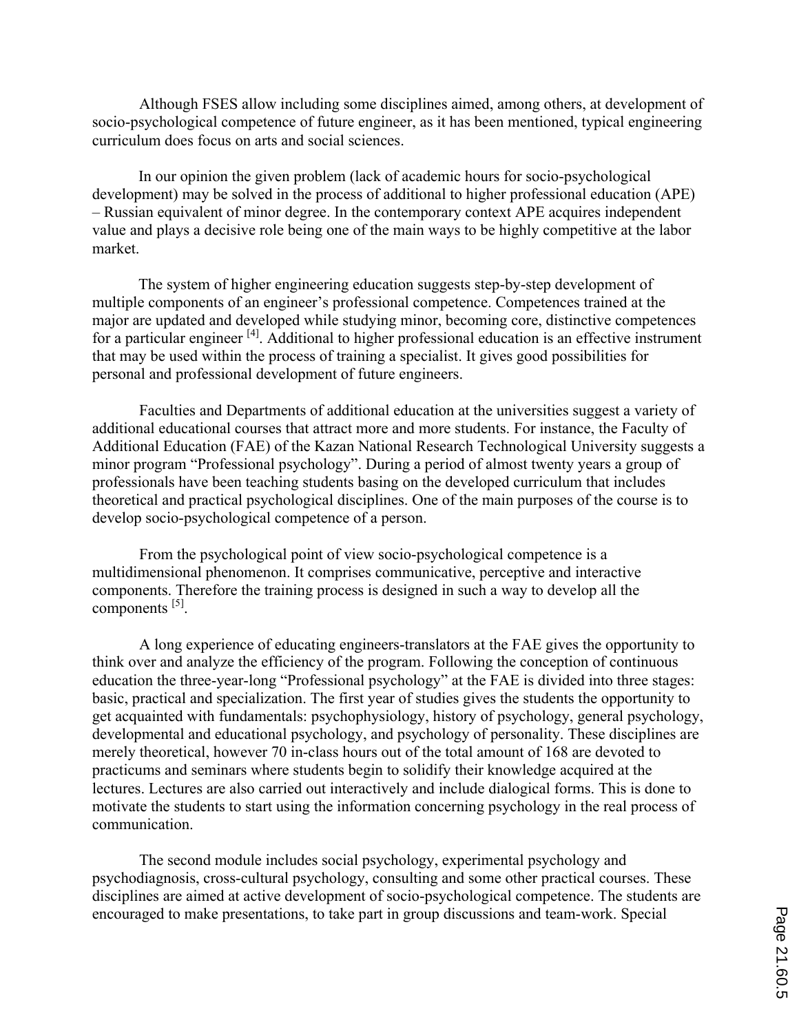Although FSES allow including some disciplines aimed, among others, at development of socio-psychological competence of future engineer, as it has been mentioned, typical engineering curriculum does focus on arts and social sciences.

In our opinion the given problem (lack of academic hours for socio-psychological development) may be solved in the process of additional to higher professional education (APE) – Russian equivalent of minor degree. In the contemporary context APE acquires independent value and plays a decisive role being one of the main ways to be highly competitive at the labor market.

The system of higher engineering education suggests step-by-step development of multiple components of an engineer's professional competence. Competences trained at the major are updated and developed while studying minor, becoming core, distinctive competences for a particular engineer <sup>[4]</sup>. Additional to higher professional education is an effective instrument that may be used within the process of training a specialist. It gives good possibilities for personal and professional development of future engineers.

Faculties and Departments of additional education at the universities suggest a variety of additional educational courses that attract more and more students. For instance, the Faculty of Additional Education (FAE) of the Kazan National Research Technological University suggests a minor program "Professional psychology". During a period of almost twenty years a group of professionals have been teaching students basing on the developed curriculum that includes theoretical and practical psychological disciplines. One of the main purposes of the course is to develop socio-psychological competence of a person.

From the psychological point of view socio-psychological competence is a multidimensional phenomenon. It comprises communicative, perceptive and interactive components. Therefore the training process is designed in such a way to develop all the components [5].

A long experience of educating engineers-translators at the FAE gives the opportunity to think over and analyze the efficiency of the program. Following the conception of continuous education the three-year-long "Professional psychology" at the FAE is divided into three stages: basic, practical and specialization. The first year of studies gives the students the opportunity to get acquainted with fundamentals: psychophysiology, history of psychology, general psychology, developmental and educational psychology, and psychology of personality. These disciplines are merely theoretical, however 70 in-class hours out of the total amount of 168 are devoted to practicums and seminars where students begin to solidify their knowledge acquired at the lectures. Lectures are also carried out interactively and include dialogical forms. This is done to motivate the students to start using the information concerning psychology in the real process of communication.

The second module includes social psychology, experimental psychology and psychodiagnosis, cross-cultural psychology, consulting and some other practical courses. These disciplines are aimed at active development of socio-psychological competence. The students are encouraged to make presentations, to take part in group discussions and team-work. Special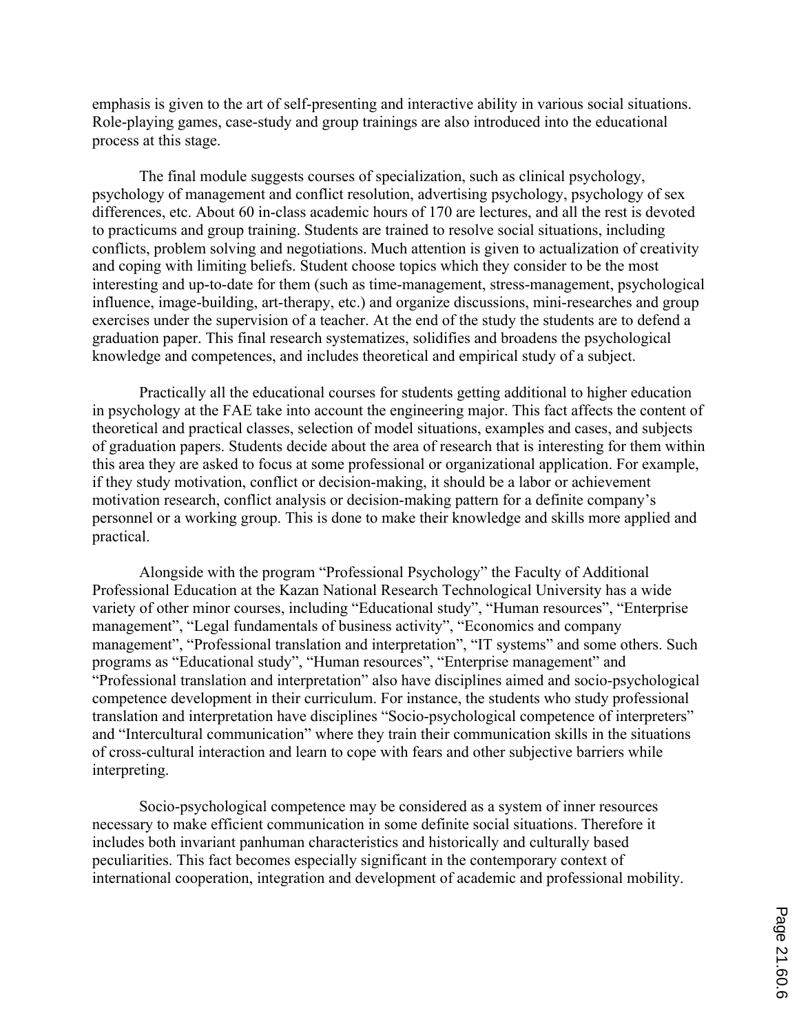emphasis is given to the art of self-presenting and interactive ability in various social situations. Role-playing games, case-study and group trainings are also introduced into the educational process at this stage.

The final module suggests courses of specialization, such as clinical psychology, psychology of management and conflict resolution, advertising psychology, psychology of sex differences, etc. About 60 in-class academic hours of 170 are lectures, and all the rest is devoted to practicums and group training. Students are trained to resolve social situations, including conflicts, problem solving and negotiations. Much attention is given to actualization of creativity and coping with limiting beliefs. Student choose topics which they consider to be the most interesting and up-to-date for them (such as time-management, stress-management, psychological influence, image-building, art-therapy, etc.) and organize discussions, mini-researches and group exercises under the supervision of a teacher. At the end of the study the students are to defend a graduation paper. This final research systematizes, solidifies and broadens the psychological knowledge and competences, and includes theoretical and empirical study of a subject.

Practically all the educational courses for students getting additional to higher education in psychology at the FAE take into account the engineering major. This fact affects the content of theoretical and practical classes, selection of model situations, examples and cases, and subjects of graduation papers. Students decide about the area of research that is interesting for them within this area they are asked to focus at some professional or organizational application. For example, if they study motivation, conflict or decision-making, it should be a labor or achievement motivation research, conflict analysis or decision-making pattern for a definite company's personnel or a working group. This is done to make their knowledge and skills more applied and practical.

Alongside with the program "Professional Psychology" the Faculty of Additional Professional Education at the Kazan National Research Technological University has a wide variety of other minor courses, including "Educational study", "Human resources", "Enterprise management", "Legal fundamentals of business activity", "Economics and company management", "Professional translation and interpretation", "IT systems" and some others. Such programs as "Educational study", "Human resources", "Enterprise management" and "Professional translation and interpretation" also have disciplines aimed and socio-psychological competence development in their curriculum. For instance, the students who study professional translation and interpretation have disciplines "Socio-psychological competence of interpreters" and "Intercultural communication" where they train their communication skills in the situations of cross-cultural interaction and learn to cope with fears and other subjective barriers while interpreting.

Socio-psychological competence may be considered as a system of inner resources necessary to make efficient communication in some definite social situations. Therefore it includes both invariant panhuman characteristics and historically and culturally based peculiarities. This fact becomes especially significant in the contemporary context of international cooperation, integration and development of academic and professional mobility.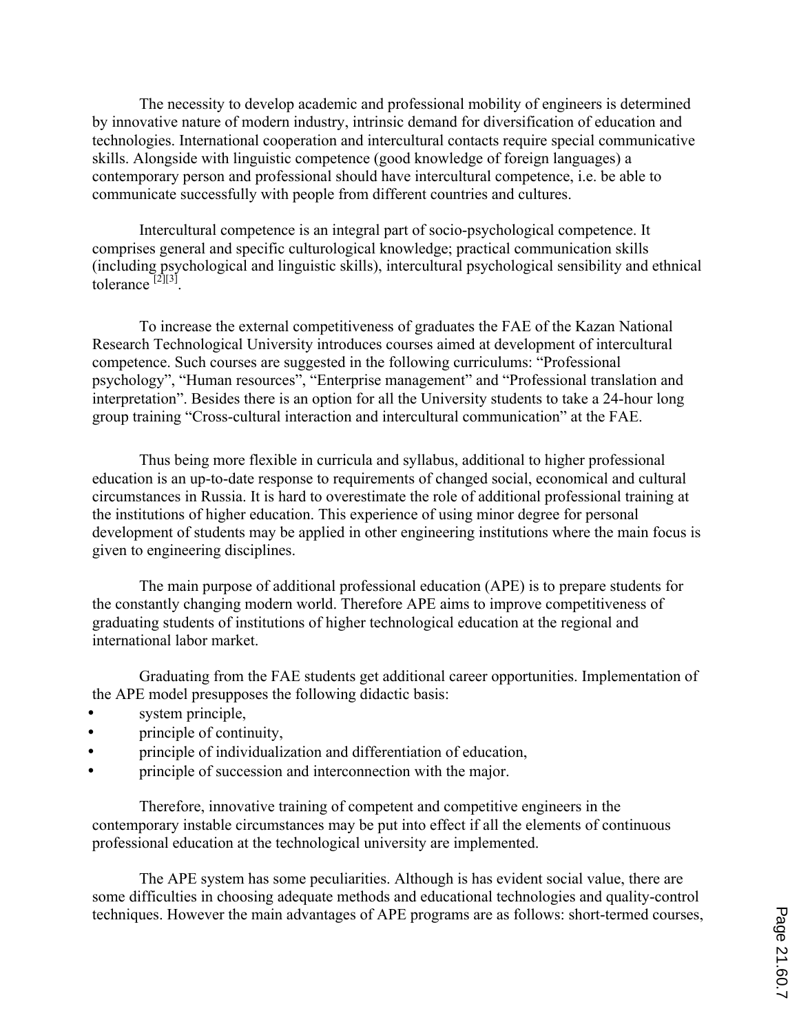The necessity to develop academic and professional mobility of engineers is determined by innovative nature of modern industry, intrinsic demand for diversification of education and technologies. International cooperation and intercultural contacts require special communicative skills. Alongside with linguistic competence (good knowledge of foreign languages) a contemporary person and professional should have intercultural competence, i.e. be able to communicate successfully with people from different countries and cultures.

Intercultural competence is an integral part of socio-psychological competence. It comprises general and specific culturological knowledge; practical communication skills (including psychological and linguistic skills), intercultural psychological sensibility and ethnical tolerance  $[2][3]$ 

To increase the external competitiveness of graduates the FAE of the Kazan National Research Technological University introduces courses aimed at development of intercultural competence. Such courses are suggested in the following curriculums: "Professional psychology", "Human resources", "Enterprise management" and "Professional translation and interpretation". Besides there is an option for all the University students to take a 24-hour long group training "Cross-cultural interaction and intercultural communication" at the FAE.

Thus being more flexible in curricula and syllabus, additional to higher professional education is an up-to-date response to requirements of changed social, economical and cultural circumstances in Russia. It is hard to overestimate the role of additional professional training at the institutions of higher education. This experience of using minor degree for personal development of students may be applied in other engineering institutions where the main focus is given to engineering disciplines.

The main purpose of additional professional education (APE) is to prepare students for the constantly changing modern world. Therefore APE aims to improve competitiveness of graduating students of institutions of higher technological education at the regional and international labor market.

Graduating from the FAE students get additional career opportunities. Implementation of the APE model presupposes the following didactic basis:

- system principle,
- principle of continuity,
- principle of individualization and differentiation of education,
- principle of succession and interconnection with the major.

Therefore, innovative training of competent and competitive engineers in the contemporary instable circumstances may be put into effect if all the elements of continuous professional education at the technological university are implemented.

The APE system has some peculiarities. Although is has evident social value, there are some difficulties in choosing adequate methods and educational technologies and quality-control techniques. However the main advantages of APE programs are as follows: short-termed courses,